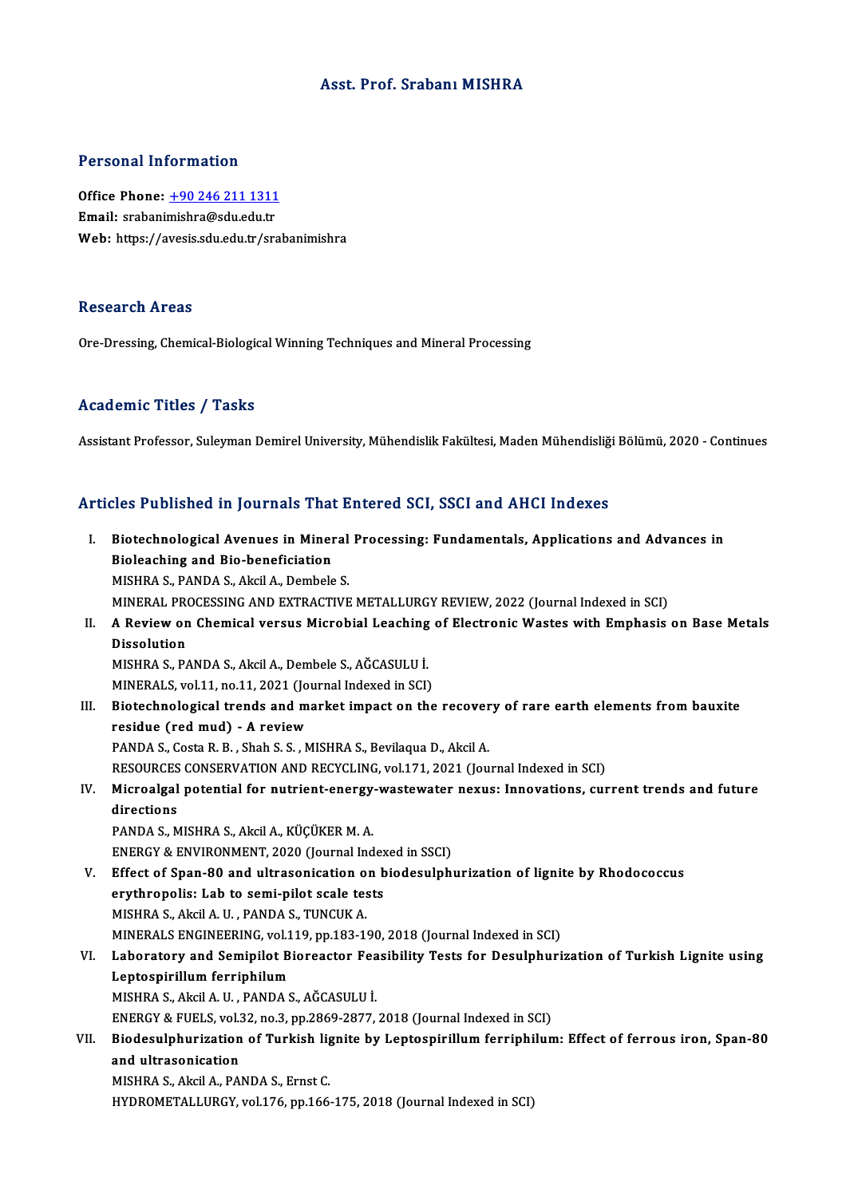### Asst. Prof. Srabanı MISHRA

### Personal Information

Personal Information<br>Office Phone: <u>+90 246 211 1311</u><br>Email: srabanimishra@edu.edu.tr Processian information<br>Office Phone: <u>+90 246 211 1311</u><br>Email: srabani[mishra@sdu.edu.tr](tel:+90 246 211 1311) Email: srabanimishra@sdu.edu.tr<br>Web: https://avesis.sdu.edu.tr/srabanimishra

### Research Areas

Ore-Dressing, Chemical-Biological Winning Techniques and Mineral Processing

### Academic Titles / Tasks

Assistant Professor, Suleyman Demirel University, Mühendislik Fakültesi, Maden Mühendisliği Bölümü, 2020 - Continues

## Articles Published in Journals That Entered SCI, SSCI and AHCI Indexes

rticles Published in Journals That Entered SCI, SSCI and AHCI Indexes<br>I. Biotechnological Avenues in Mineral Processing: Fundamentals, Applications and Advances in<br>Riskasshing and Ris banaficiation Biotechnological Avenues in Miner<br>Bioleaching and Bio-beneficiation<br>MISURA S. BANDA S. Akcil A. Dembels Biotechnological Avenues in Mineral<br>Bioleaching and Bio-beneficiation<br>MISHRA S., PANDA S., Akcil A., Dembele S.<br>MINERAL PROCESSING AND EXTRACTIVE Bioleaching and Bio-beneficiation<br>MISHRA S., PANDA S., Akcil A., Dembele S.<br>MINERAL PROCESSING AND EXTRACTIVE METALLURGY REVIEW, 2022 (Journal Indexed in SCI) MISHRA S., PANDA S., Akcil A., Dembele S.<br>MINERAL PROCESSING AND EXTRACTIVE METALLURGY REVIEW, 2022 (Journal Indexed in SCI)<br>II. A Review on Chemical versus Microbial Leaching of Electronic Wastes with Emphasis on Base MINERAL PRO<br>A Review on<br>Dissolution<br>MISUPAS R/ A Review on Chemical versus Microbial Leaching<br>Dissolution<br>MISHRA S., PANDA S., Akcil A., Dembele S., AĞCASULU İ.<br>MINERALS vol 11 no 11 2021 (Journal Indoved in SSD Dissolution<br>MISHRA S., PANDA S., Akcil A., Dembele S., AĞCASULU İ.<br>MINERALS, vol.11, no.11, 2021 (Journal Indexed in SCI) MISHRA S., PANDA S., Akcil A., Dembele S., AĞCASULU İ.<br>MINERALS, vol.11, no.11, 2021 (Journal Indexed in SCI)<br>III. Biotechnological trends and market impact on the recovery of rare earth elements from bauxite<br>recidue (red MINERALS, vol.11, no.11, 2021 (Jo<br>Biotechnological trends and m<br>residue (red mud) - A review<br>BANDA S. Costa B. B., Shah S. S. A Biotechnological trends and market impact on the recover<br>residue (red mud) - A review<br>PANDA S., Costa R. B. , Shah S. S. , MISHRA S., Bevilaqua D., Akcil A.<br>RESOURCES CONSERVATION AND RECYCLING vol.171, 2021 (Jou residue (red mud) - A review<br>PANDA S., Costa R. B. , Shah S. S. , MISHRA S., Bevilaqua D., Akcil A.<br>RESOURCES CONSERVATION AND RECYCLING, vol.171, 2021 (Journal Indexed in SCI)<br>Misroelsel potential for putrient opersy west PANDA S., Costa R. B. , Shah S. S. , MISHRA S., Bevilaqua D., Akcil A.<br>RESOURCES CONSERVATION AND RECYCLING, vol.171, 2021 (Journal Indexed in SCI)<br>IV. Microalgal potential for nutrient-energy-wastewater nexus: Innovations RESOURCES<br>Microalgal<br>directions<br>RANDA S. M PANDA S., MISHRA S., Akcil A., KÜÇÜKER M. A. directions<br>PANDA S., MISHRA S., Akcil A., KÜÇÜKER M. A.<br>ENERGY & ENVIRONMENT, 2020 (Journal Indexed in SSCI)<br>Effect of Span 80 and ultresonisation on hiedesulphi PANDA S., MISHRA S., Akcil A., KÜÇÜKER M. A.<br>ENERGY & ENVIRONMENT, 2020 (Journal Indexed in SSCI)<br>V. Effect of Span-80 and ultrasonication on biodesulphurization of lignite by Rhodococcus<br>externalise Lab to semi-nilet scal ENERGY & ENVIRONMENT, 2020 (Journal Index<br>Effect of Span-80 and ultrasonication on b<br>erythropolis: Lab to semi-pilot scale tests<br>MISHPA S. Algil A H. PANDA S. TUNGUK A Effect of Span-80 and ultrasonication o<br>erythropolis: Lab to semi-pilot scale tes<br>MISHRA S., Akcil A. U. , PANDA S., TUNCUK A.<br>MINERALS ENCINEERING vol 119 pp 192-19 erythropolis: Lab to semi-pilot scale tests<br>MISHRA S., Akcil A. U. , PANDA S., TUNCUK A.<br>MINERALS ENGINEERING, vol.119, pp.183-190, 2018 (Journal Indexed in SCI) MISHRA S., Akcil A. U. , PANDA S., TUNCUK A.<br>MINERALS ENGINEERING, vol.119, pp.183-190, 2018 (Journal Indexed in SCI)<br>VI. Laboratory and Semipilot Bioreactor Feasibility Tests for Desulphurization of Turkish Lignite us MINERALS ENGINEERING, vol.1<br>Laboratory and Semipilot B<br>Leptospirillum ferriphilum<br>MISHPA S. Algil A. H., PANDA S Laboratory and Semipilot Bioreactor Fea<br>Leptospirillum ferriphilum<br>MISHRA S., Akcil A. U. , PANDA S., AĞCASULU İ.<br>ENEPCY & EUELS vol 32 no 3 np 3860 3977 Leptospirillum ferriphilum<br>MISHRA S., Akcil A. U. , PANDA S., AĞCASULU İ.<br>ENERGY & FUELS, vol.32, no.3, pp.2869-2877, 2018 (Journal Indexed in SCI)<br>Biodesulphurization of Turkish lispite by Lentespirillum ferriphilum MISHRA S., Akcil A. U. , PANDA S., AĞCASULU İ.<br>ENERGY & FUELS, vol.32, no.3, pp.2869-2877, 2018 (Journal Indexed in SCI)<br>VII. Biodesulphurization of Turkish lignite by Leptospirillum ferriphilum: Effect of ferrous iron ENERGY & FUELS, vol.:<br>Biodesulphurization<br>and ultrasonication<br>MISURA S. Aksil A. RA Biodesulphurization of Turkish lig<br>and ultrasonication<br>MISHRA S., Akcil A., PANDA S., Ernst C.<br>UVDROMETALLURCY vol 176 nn 166 and ultrasonication<br>MISHRA S., Akcil A., PANDA S., Ernst C.<br>HYDROMETALLURGY, vol.176, pp.166-175, 2018 (Journal Indexed in SCI)